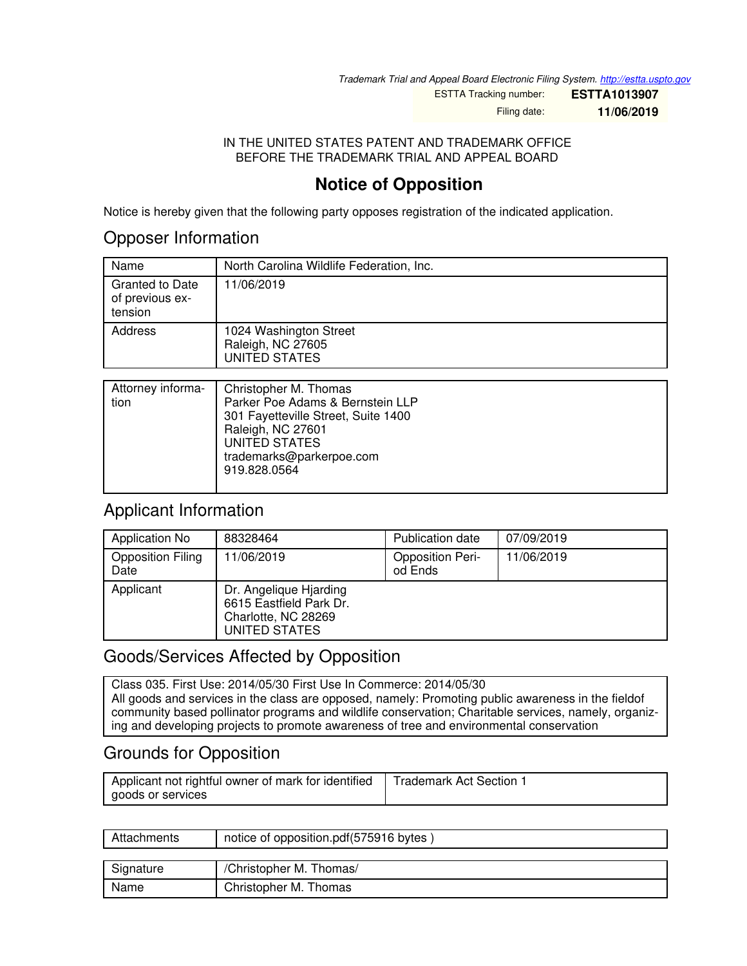*Trademark Trial and Appeal Board Electronic Filing System. <http://estta.uspto.gov>*

ESTTA Tracking number: **ESTTA1013907**

Filing date: **11/06/2019**

IN THE UNITED STATES PATENT AND TRADEMARK OFFICE BEFORE THE TRADEMARK TRIAL AND APPEAL BOARD

# **Notice of Opposition**

Notice is hereby given that the following party opposes registration of the indicated application.

### Opposer Information

| Name                                          | North Carolina Wildlife Federation, Inc.                     |
|-----------------------------------------------|--------------------------------------------------------------|
| Granted to Date<br>of previous ex-<br>tension | 11/06/2019                                                   |
| Address                                       | 1024 Washington Street<br>Raleigh, NC 27605<br>UNITED STATES |

| Attorney informa-<br>tion | Christopher M. Thomas<br>Parker Poe Adams & Bernstein LLP<br>301 Fayetteville Street, Suite 1400<br>Raleigh, NC 27601<br>UNITED STATES<br>trademarks@parkerpoe.com<br>919.828.0564 |
|---------------------------|------------------------------------------------------------------------------------------------------------------------------------------------------------------------------------|
|                           |                                                                                                                                                                                    |

## Applicant Information

| Application No                   | 88328464                                                                                  | Publication date                   | 07/09/2019 |
|----------------------------------|-------------------------------------------------------------------------------------------|------------------------------------|------------|
| <b>Opposition Filing</b><br>Date | 11/06/2019                                                                                | <b>Opposition Peri-</b><br>od Ends | 11/06/2019 |
| Applicant                        | Dr. Angelique Hjarding<br>6615 Eastfield Park Dr.<br>Charlotte, NC 28269<br>UNITED STATES |                                    |            |

## Goods/Services Affected by Opposition

Class 035. First Use: 2014/05/30 First Use In Commerce: 2014/05/30 All goods and services in the class are opposed, namely: Promoting public awareness in the fieldof community based pollinator programs and wildlife conservation; Charitable services, namely, organizing and developing projects to promote awareness of tree and environmental conservation

# Grounds for Opposition

| Applicant not rightful owner of mark for identified | <b>Trademark Act Section</b> |
|-----------------------------------------------------|------------------------------|
| goods or services                                   |                              |

| Attachments | notice of opposition.pdf(575916 bytes) |
|-------------|----------------------------------------|
|             |                                        |
| Signature   | /Christopher M. Thomas/                |
| Name        | Christopher M. Thomas                  |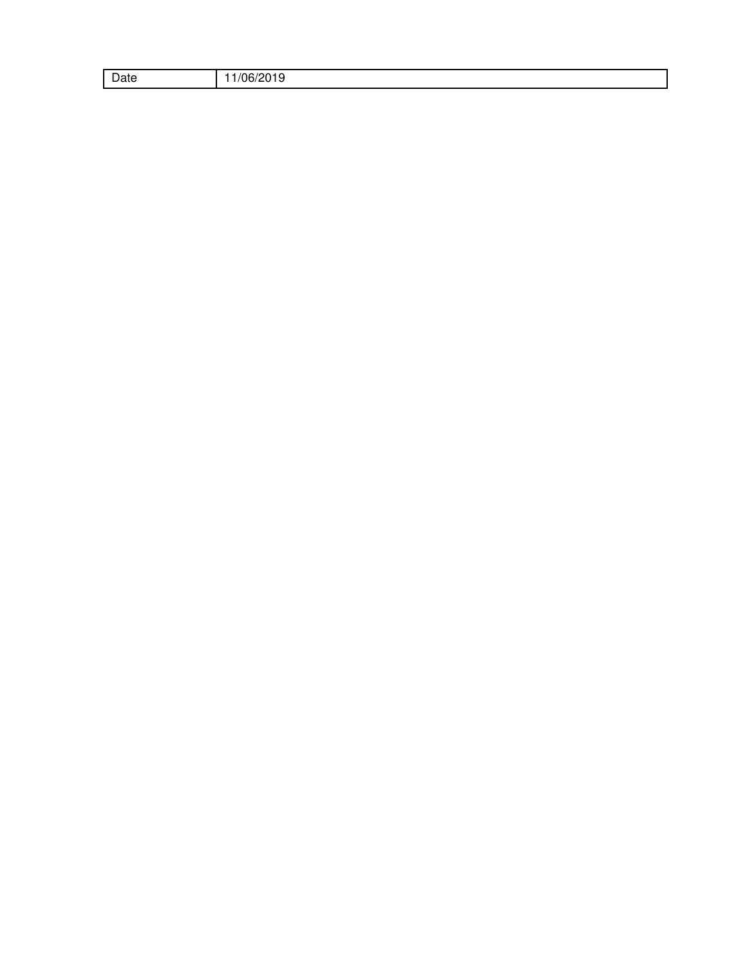| $\overline{\phantom{0}}$<br>Dale |  |
|----------------------------------|--|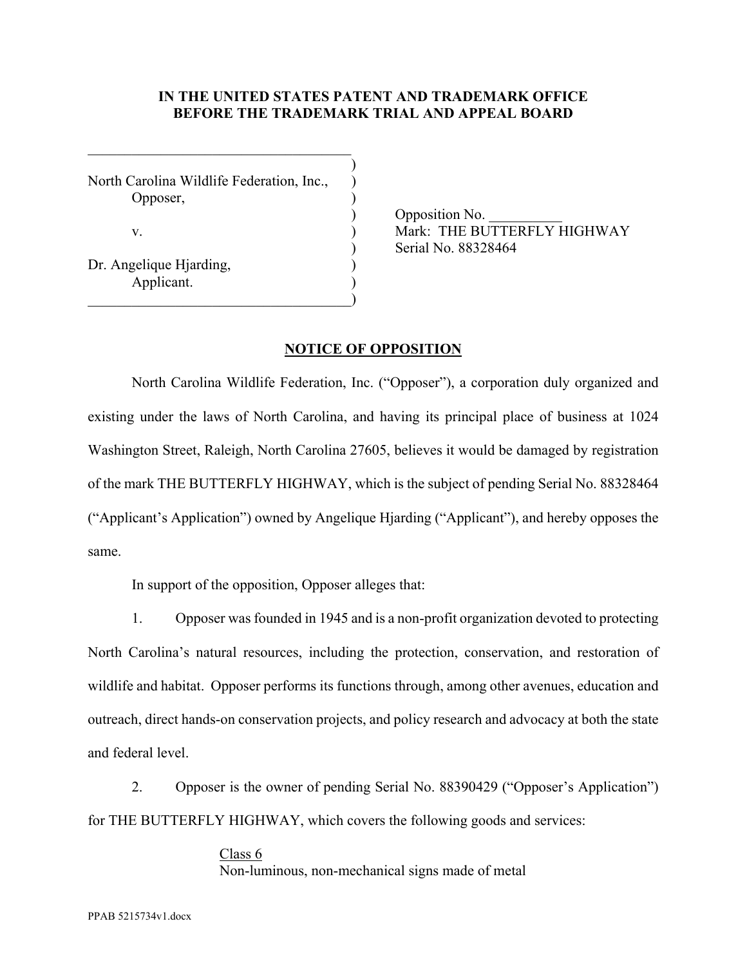#### **IN THE UNITED STATES PATENT AND TRADEMARK OFFICE BEFORE THE TRADEMARK TRIAL AND APPEAL BOARD**

 $)$ North Carolina Wildlife Federation, Inc., ) Opposer, ) Dr. Angelique Hjarding, Applicant. )

 $\qquad \qquad \qquad \qquad \qquad \qquad \qquad$ 

 $\_$  . The contribution of the contribution of  $\mathcal{L}_\mathcal{L}$ 

Opposition No. v.  $\overline{V}$  Mark: THE BUTTERFLY HIGHWAY ) Serial No. 88328464

#### **NOTICE OF OPPOSITION**

North Carolina Wildlife Federation, Inc. ("Opposer"), a corporation duly organized and existing under the laws of North Carolina, and having its principal place of business at 1024 Washington Street, Raleigh, North Carolina 27605, believes it would be damaged by registration of the mark THE BUTTERFLY HIGHWAY, which is the subject of pending Serial No. 88328464 ("Applicant's Application") owned by Angelique Hjarding ("Applicant"), and hereby opposes the same.

In support of the opposition, Opposer alleges that:

 1. Opposer was founded in 1945 and is a non-profit organization devoted to protecting North Carolina's natural resources, including the protection, conservation, and restoration of wildlife and habitat. Opposer performs its functions through, among other avenues, education and outreach, direct hands-on conservation projects, and policy research and advocacy at both the state and federal level.

 2. Opposer is the owner of pending Serial No. 88390429 ("Opposer's Application") for THE BUTTERFLY HIGHWAY, which covers the following goods and services:

> Class 6 Non-luminous, non-mechanical signs made of metal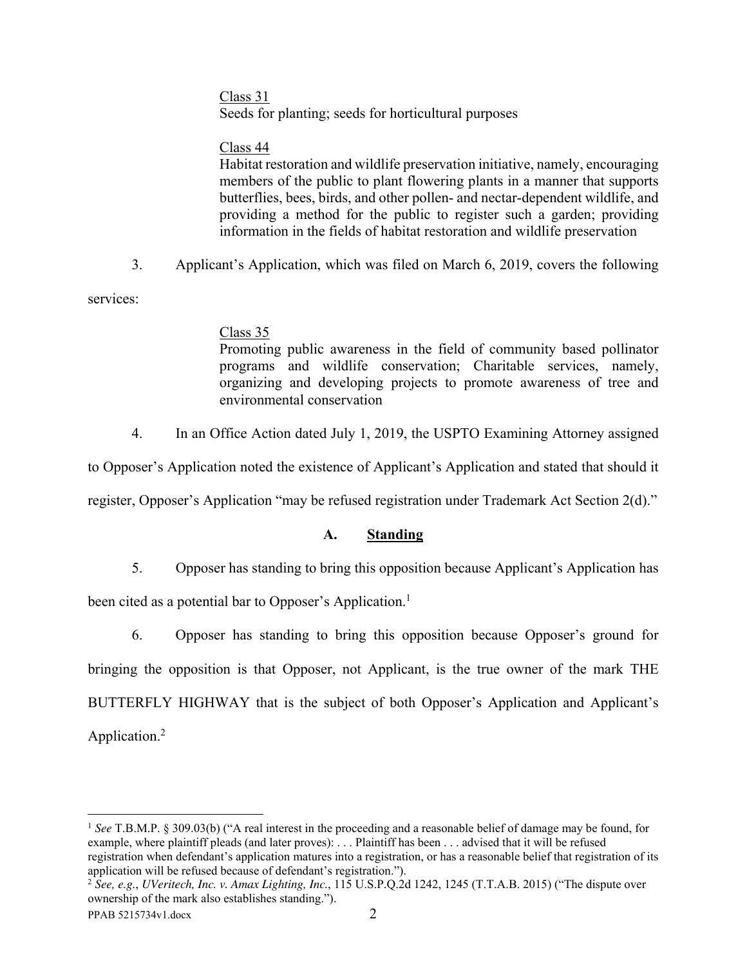#### Class 31

Seeds for planting; seeds for horticultural purposes

### Class 44

Habitat restoration and wildlife preservation initiative, namely, encouraging members of the public to plant flowering plants in a manner that supports butterflies, bees, birds, and other pollen- and nectar-dependent wildlife, and providing a method for the public to register such a garden; providing information in the fields of habitat restoration and wildlife preservation

3. Applicant's Application, which was filed on March 6, 2019, covers the following

services:

#### Class 35

Promoting public awareness in the field of community based pollinator programs and wildlife conservation; Charitable services, namely, organizing and developing projects to promote awareness of tree and environmental conservation

4. In an Office Action dated July 1, 2019, the USPTO Examining Attorney assigned

to Opposer's Application noted the existence of Applicant's Application and stated that should it

register, Opposer's Application "may be refused registration under Trademark Act Section 2(d)."

### **A. Standing**

5. Opposer has standing to bring this opposition because Applicant's Application has

been cited as a potential bar to Opposer's Application.<sup>1</sup>

 6. Opposer has standing to bring this opposition because Opposer's ground for bringing the opposition is that Opposer, not Applicant, is the true owner of the mark THE BUTTERFLY HIGHWAY that is the subject of both Opposer's Application and Applicant's Application.<sup>2</sup>

<sup>&</sup>lt;u>.</u> <sup>1</sup> *See* T.B.M.P. § 309.03(b) ("A real interest in the proceeding and a reasonable belief of damage may be found, for example, where plaintiff pleads (and later proves): . . . Plaintiff has been . . . advised that it will be refused registration when defendant's application matures into a registration, or has a reasonable belief that registration of its application will be refused because of defendant's registration.").

<sup>2</sup> *See, e.g.*, *UVeritech, Inc. v. Amax Lighting, Inc.*, 115 U.S.P.Q.2d 1242, 1245 (T.T.A.B. 2015) ("The dispute over ownership of the mark also establishes standing.").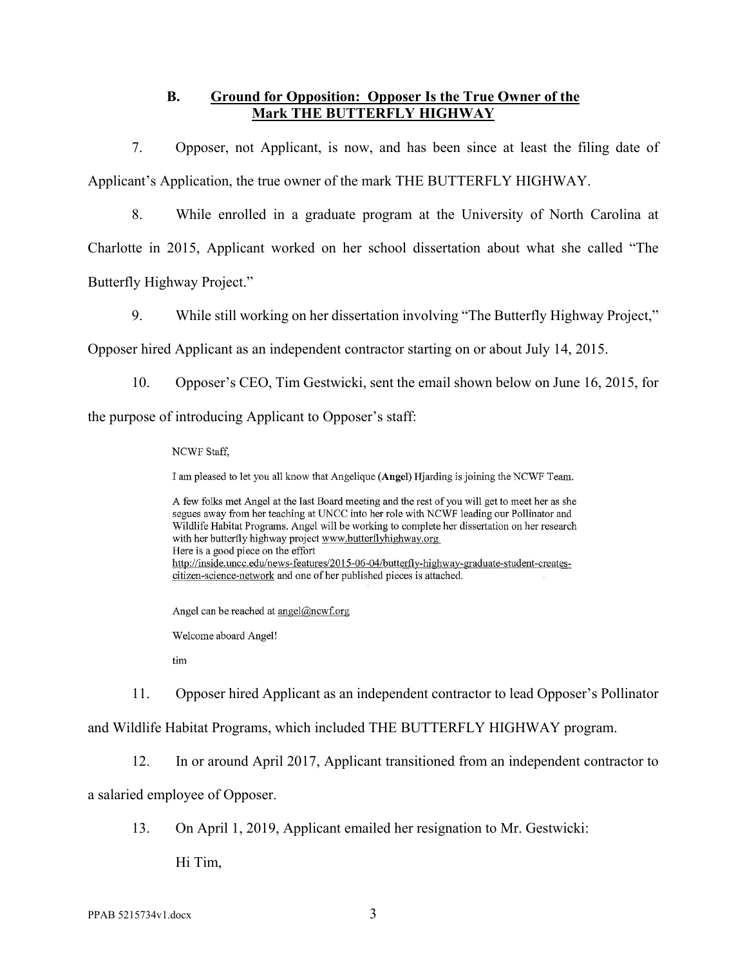### **B. Ground for Opposition: Opposer Is the True Owner of the Mark THE BUTTERFLY HIGHWAY**

 7. Opposer, not Applicant, is now, and has been since at least the filing date of Applicant's Application, the true owner of the mark THE BUTTERFLY HIGHWAY.

8. While enrolled in a graduate program at the University of North Carolina at

Charlotte in 2015, Applicant worked on her school dissertation about what she called "The Butterfly Highway Project."

9. While still working on her dissertation involving "The Butterfly Highway Project,"

Opposer hired Applicant as an independent contractor starting on or about July 14, 2015.

10. Opposer's CEO, Tim Gestwicki, sent the email shown below on June 16, 2015, for

the purpose of introducing Applicant to Opposer's staff:

NCWF Staff,

I am pleased to let you all know that Angelique (Angel) Hjarding is joining the NCWF Team.

A few folks met Angel at the last Board meeting and the rest of you will get to meet her as she segues away from her teaching at UNCC into her role with NCWF leading our Pollinator and Wildlife Habitat Programs. Angel will be working to complete her dissertation on her research with her butterfly highway project www.butterflyhighway.org Here is a good piece on the effort http://inside.uncc.edu/news-features/2015-06-04/butterfly-highway-graduate-student-createscitizen-science-network and one of her published pieces is attached.

Angel can be reached at angel@ncwf.org

Welcome aboard Angel!

tim

11. Opposer hired Applicant as an independent contractor to lead Opposer's Pollinator

and Wildlife Habitat Programs, which included THE BUTTERFLY HIGHWAY program.

12. In or around April 2017, Applicant transitioned from an independent contractor to

a salaried employee of Opposer.

13. On April 1, 2019, Applicant emailed her resignation to Mr. Gestwicki:

Hi Tim,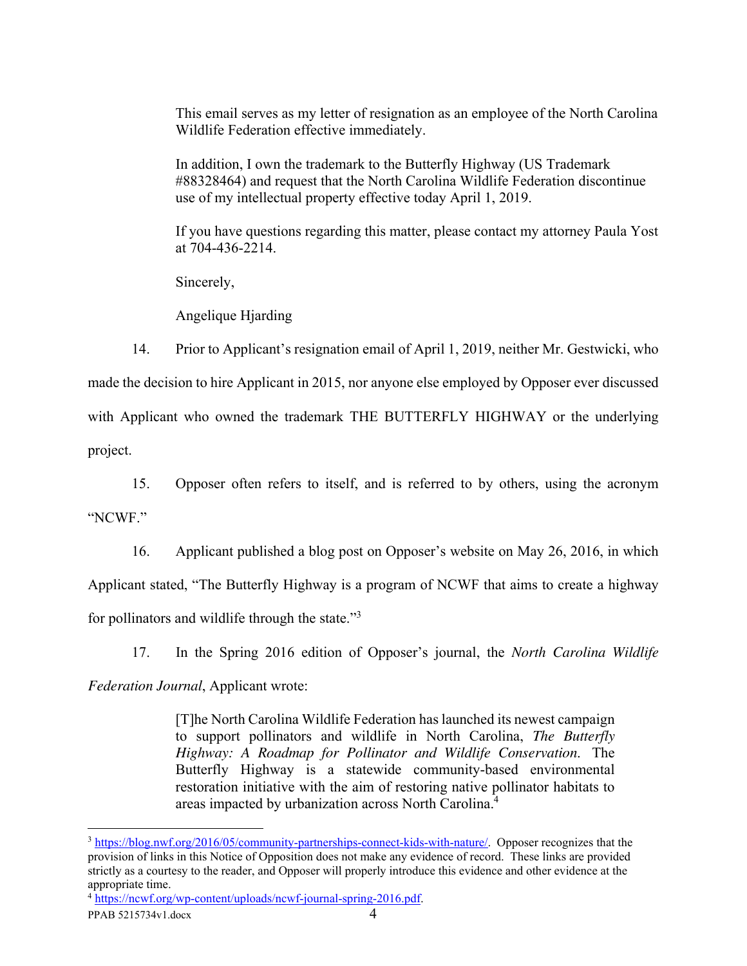This email serves as my letter of resignation as an employee of the North Carolina Wildlife Federation effective immediately.

In addition, I own the trademark to the Butterfly Highway (US Trademark #88328464) and request that the North Carolina Wildlife Federation discontinue use of my intellectual property effective today April 1, 2019.

If you have questions regarding this matter, please contact my attorney Paula Yost at 704-436-2214.

Sincerely,

Angelique Hjarding

 14. Prior to Applicant's resignation email of April 1, 2019, neither Mr. Gestwicki, who made the decision to hire Applicant in 2015, nor anyone else employed by Opposer ever discussed with Applicant who owned the trademark THE BUTTERFLY HIGHWAY or the underlying project.

 15. Opposer often refers to itself, and is referred to by others, using the acronym "NCWF."

16. Applicant published a blog post on Opposer's website on May 26, 2016, in which

Applicant stated, "The Butterfly Highway is a program of NCWF that aims to create a highway

for pollinators and wildlife through the state."<sup>3</sup>

17. In the Spring 2016 edition of Opposer's journal, the *North Carolina Wildlife* 

*Federation Journal*, Applicant wrote:

[T]he North Carolina Wildlife Federation has launched its newest campaign to support pollinators and wildlife in North Carolina, *The Butterfly Highway: A Roadmap for Pollinator and Wildlife Conservation*. The Butterfly Highway is a statewide community-based environmental restoration initiative with the aim of restoring native pollinator habitats to areas impacted by urbanization across North Carolina.<sup>4</sup>

 $\overline{a}$ 

<sup>3</sup> https://blog.nwf.org/2016/05/community-partnerships-connect-kids-with-nature/. Opposer recognizes that the provision of links in this Notice of Opposition does not make any evidence of record. These links are provided strictly as a courtesy to the reader, and Opposer will properly introduce this evidence and other evidence at the appropriate time.

<sup>4</sup> https://ncwf.org/wp-content/uploads/ncwf-journal-spring-2016.pdf.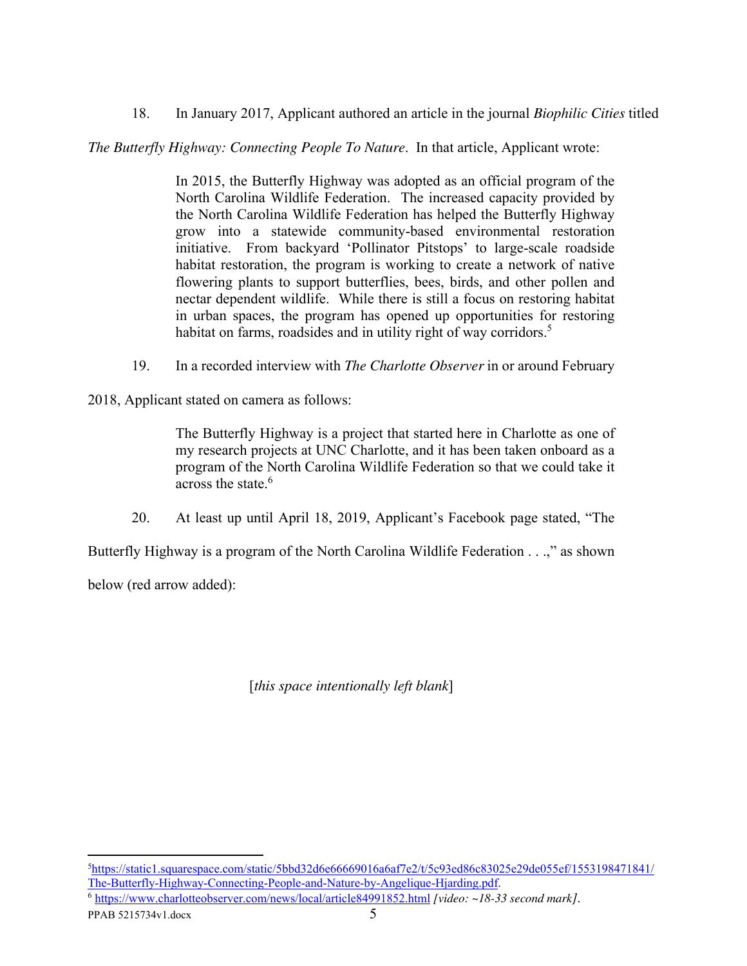18. In January 2017, Applicant authored an article in the journal *Biophilic Cities* titled

*The Butterfly Highway: Connecting People To Nature*. In that article, Applicant wrote:

In 2015, the Butterfly Highway was adopted as an official program of the North Carolina Wildlife Federation. The increased capacity provided by the North Carolina Wildlife Federation has helped the Butterfly Highway grow into a statewide community-based environmental restoration initiative. From backyard 'Pollinator Pitstops' to large-scale roadside habitat restoration, the program is working to create a network of native flowering plants to support butterflies, bees, birds, and other pollen and nectar dependent wildlife. While there is still a focus on restoring habitat in urban spaces, the program has opened up opportunities for restoring habitat on farms, roadsides and in utility right of way corridors.<sup>5</sup>

19. In a recorded interview with *The Charlotte Observer* in or around February

2018, Applicant stated on camera as follows:

The Butterfly Highway is a project that started here in Charlotte as one of my research projects at UNC Charlotte, and it has been taken onboard as a program of the North Carolina Wildlife Federation so that we could take it across the state.<sup>6</sup>

20. At least up until April 18, 2019, Applicant's Facebook page stated, "The

Butterfly Highway is a program of the North Carolina Wildlife Federation . . .," as shown

below (red arrow added):

[*this space intentionally left blank*]

 $\overline{a}$ 

<sup>5</sup>https://static1.squarespace.com/static/5bbd32d6e66669016a6af7e2/t/5c93ed86c83025e29de055ef/1553198471841/ The-Butterfly-Highway-Connecting-People-and-Nature-by-Angelique-Hjarding.pdf.

<sup>6</sup> https://www.charlotteobserver.com/news/local/article84991852.html *[video: ~18-33 second mark]*.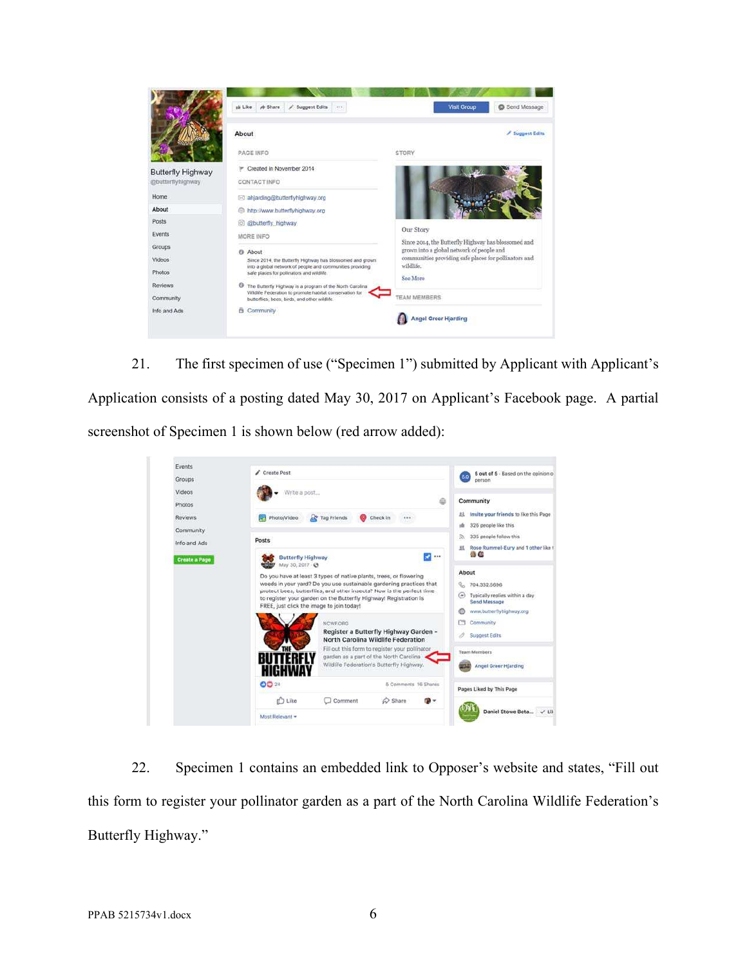

 21. The first specimen of use ("Specimen 1") submitted by Applicant with Applicant's Application consists of a posting dated May 30, 2017 on Applicant's Facebook page. A partial screenshot of Specimen 1 is shown below (red arrow added):



 22. Specimen 1 contains an embedded link to Opposer's website and states, "Fill out this form to register your pollinator garden as a part of the North Carolina Wildlife Federation's Butterfly Highway."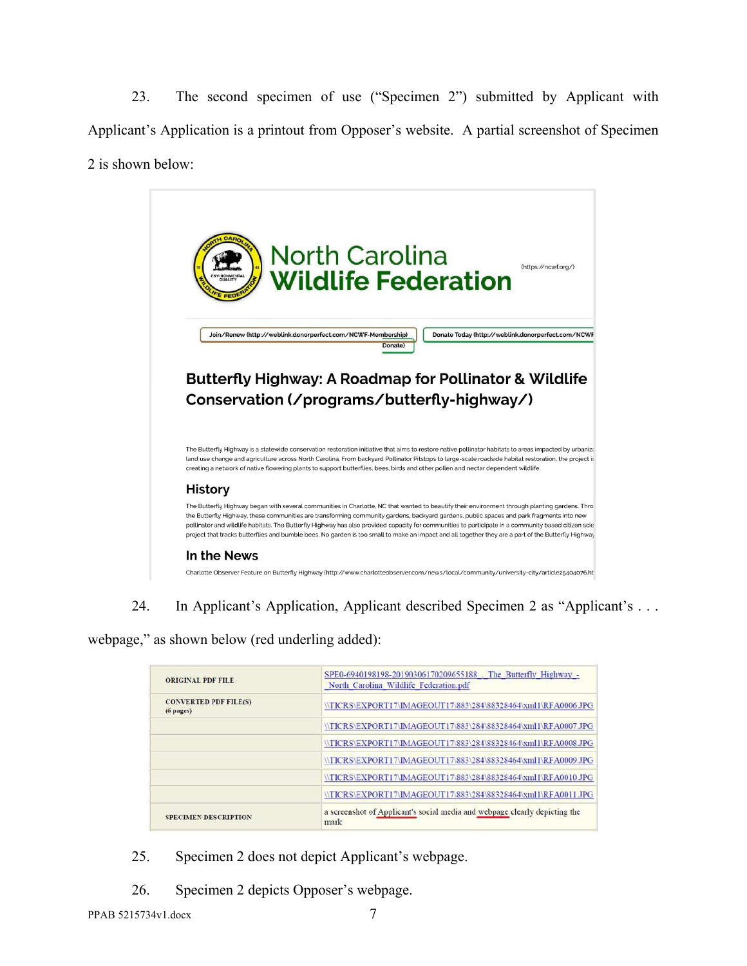23. The second specimen of use ("Specimen 2") submitted by Applicant with Applicant's Application is a printout from Opposer's website. A partial screenshot of Specimen 2 is shown below:



24. In Applicant's Application, Applicant described Specimen 2 as "Applicant's . . .

webpage," as shown below (red underling added):

| <b>ORIGINAL PDF FILE</b>                  | SPE0-6940198198-20190306170209655188 The Butterfly Highway -<br>North Carolina Wildlife Federation.pdf |
|-------------------------------------------|--------------------------------------------------------------------------------------------------------|
| <b>CONVERTED PDF FILE(S)</b><br>(6 pages) | \TICRS\EXPORT17\IMAGEOUT17\883\284\88328464\xml1\RFA0006.JPG                                           |
|                                           | \TICRS\EXPORT17\IMAGEOUT17\883\284\88328464\xml1\RFA0007.JPG                                           |
|                                           | \TICRS\EXPORT17\IMAGEOUT17\883\284\88328464\xml1\RFA0008.JPG                                           |
|                                           | \TICRS\EXPORT17\IMAGEOUT17\883\284\88328464\xml1\RFA0009.JPG                                           |
|                                           | \\TICRS\EXPORT17\IMAGEOUT17\883\284\88328464\xml1\RFA0010.JPG                                          |
|                                           | \TICRS\EXPORT17\IMAGEOUT17\883\284\88328464\xml1\RFA0011.JPG                                           |
| <b>SPECIMEN DESCRIPTION</b>               | a screenshot of Applicant's social media and webpage clearly depicting the<br>mark                     |

- 25. Specimen 2 does not depict Applicant's webpage.
- 26. Specimen 2 depicts Opposer's webpage.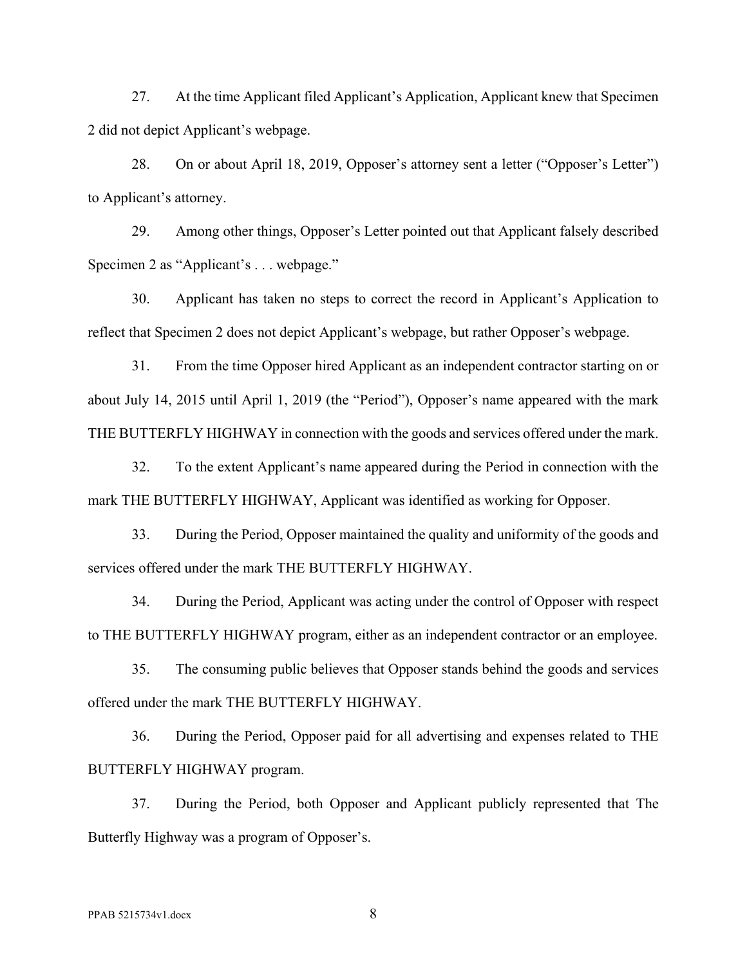27. At the time Applicant filed Applicant's Application, Applicant knew that Specimen 2 did not depict Applicant's webpage.

28. On or about April 18, 2019, Opposer's attorney sent a letter ("Opposer's Letter") to Applicant's attorney.

29. Among other things, Opposer's Letter pointed out that Applicant falsely described Specimen 2 as "Applicant's . . . webpage."

30. Applicant has taken no steps to correct the record in Applicant's Application to reflect that Specimen 2 does not depict Applicant's webpage, but rather Opposer's webpage.

31. From the time Opposer hired Applicant as an independent contractor starting on or about July 14, 2015 until April 1, 2019 (the "Period"), Opposer's name appeared with the mark THE BUTTERFLY HIGHWAY in connection with the goods and services offered under the mark.

32. To the extent Applicant's name appeared during the Period in connection with the mark THE BUTTERFLY HIGHWAY, Applicant was identified as working for Opposer.

33. During the Period, Opposer maintained the quality and uniformity of the goods and services offered under the mark THE BUTTERFLY HIGHWAY.

34. During the Period, Applicant was acting under the control of Opposer with respect to THE BUTTERFLY HIGHWAY program, either as an independent contractor or an employee.

35. The consuming public believes that Opposer stands behind the goods and services offered under the mark THE BUTTERFLY HIGHWAY.

36. During the Period, Opposer paid for all advertising and expenses related to THE BUTTERFLY HIGHWAY program.

37. During the Period, both Opposer and Applicant publicly represented that The Butterfly Highway was a program of Opposer's.